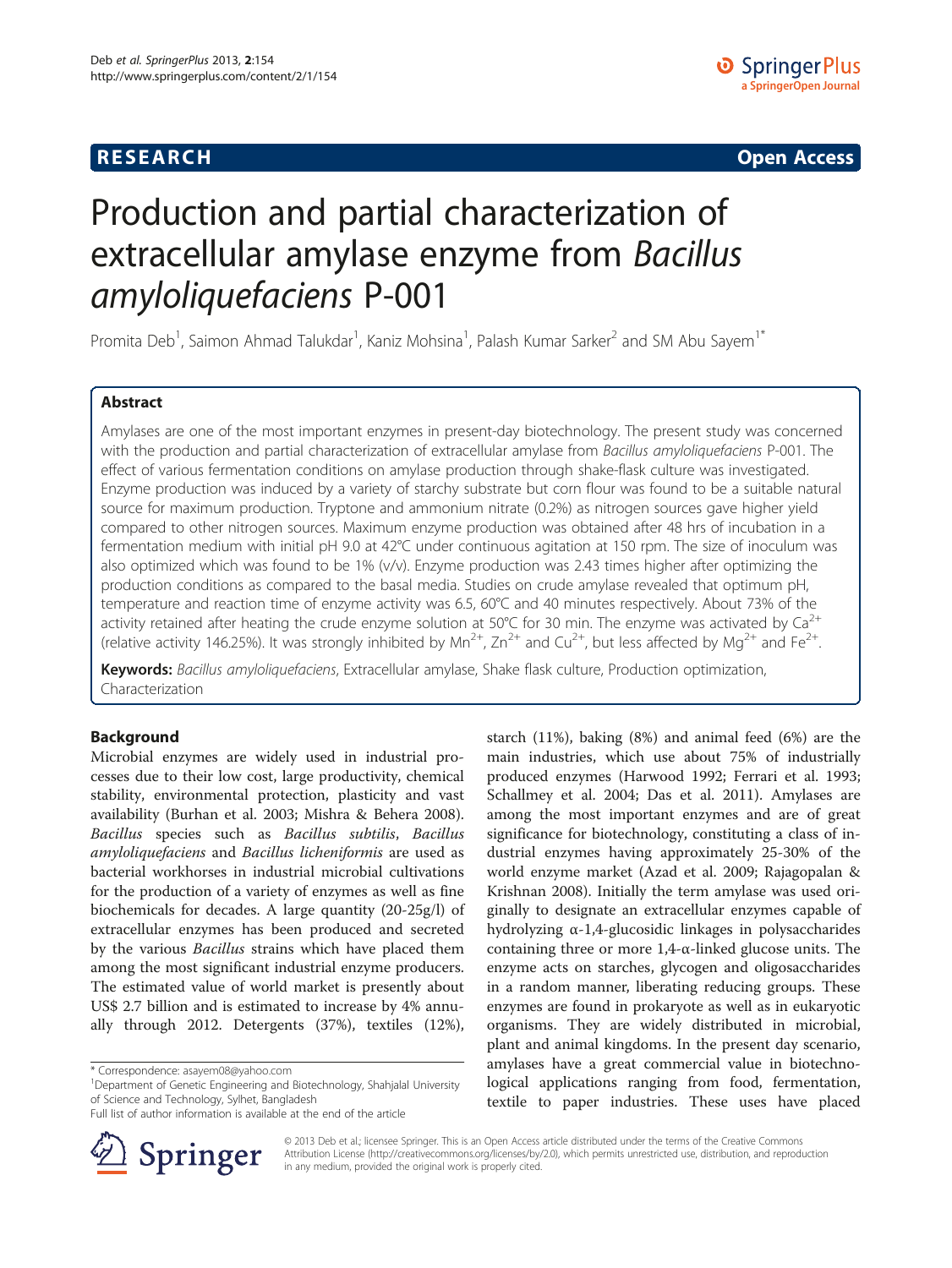## **RESEARCH RESEARCH CONSUMING ACCESS**

# Production and partial characterization of extracellular amylase enzyme from Bacillus amyloliquefaciens P-001

Promita Deb<sup>1</sup>, Saimon Ahmad Talukdar<sup>1</sup>, Kaniz Mohsina<sup>1</sup>, Palash Kumar Sarker<sup>2</sup> and SM Abu Sayem<sup>1\*</sup>

## Abstract

Amylases are one of the most important enzymes in present-day biotechnology. The present study was concerned with the production and partial characterization of extracellular amylase from Bacillus amyloliquefaciens P-001. The effect of various fermentation conditions on amylase production through shake-flask culture was investigated. Enzyme production was induced by a variety of starchy substrate but corn flour was found to be a suitable natural source for maximum production. Tryptone and ammonium nitrate (0.2%) as nitrogen sources gave higher yield compared to other nitrogen sources. Maximum enzyme production was obtained after 48 hrs of incubation in a fermentation medium with initial pH 9.0 at 42°C under continuous agitation at 150 rpm. The size of inoculum was also optimized which was found to be 1% (v/v). Enzyme production was 2.43 times higher after optimizing the production conditions as compared to the basal media. Studies on crude amylase revealed that optimum pH, temperature and reaction time of enzyme activity was 6.5, 60°C and 40 minutes respectively. About 73% of the activity retained after heating the crude enzyme solution at 50°C for 30 min. The enzyme was activated by  $Ca^{2+}$ (relative activity 146.25%). It was strongly inhibited by Mn<sup>2+</sup>, Zn<sup>2+</sup> and Cu<sup>2+</sup>, but less affected by Mg<sup>2+</sup> and Fe<sup>2+</sup>.

Keywords: Bacillus amyloliquefaciens, Extracellular amylase, Shake flask culture, Production optimization, Characterization

## Background

Microbial enzymes are widely used in industrial processes due to their low cost, large productivity, chemical stability, environmental protection, plasticity and vast availability (Burhan et al. [2003](#page-10-0); Mishra & Behera [2008](#page-10-0)). Bacillus species such as Bacillus subtilis, Bacillus amyloliquefaciens and Bacillus licheniformis are used as bacterial workhorses in industrial microbial cultivations for the production of a variety of enzymes as well as fine biochemicals for decades. A large quantity (20-25g/l) of extracellular enzymes has been produced and secreted by the various *Bacillus* strains which have placed them among the most significant industrial enzyme producers. The estimated value of world market is presently about US\$ 2.7 billion and is estimated to increase by 4% annually through 2012. Detergents (37%), textiles (12%),

Full list of author information is available at the end of the article



starch (11%), baking (8%) and animal feed (6%) are the main industries, which use about 75% of industrially produced enzymes (Harwood [1992](#page-10-0); Ferrari et al. [1993](#page-10-0); Schallmey et al. [2004;](#page-10-0) Das et al. [2011](#page-10-0)). Amylases are among the most important enzymes and are of great significance for biotechnology, constituting a class of industrial enzymes having approximately 25-30% of the world enzyme market (Azad et al. [2009](#page-10-0); Rajagopalan & Krishnan [2008\)](#page-10-0). Initially the term amylase was used originally to designate an extracellular enzymes capable of hydrolyzing α-1,4-glucosidic linkages in polysaccharides containing three or more  $1,4-\alpha$ -linked glucose units. The enzyme acts on starches, glycogen and oligosaccharides in a random manner, liberating reducing groups. These enzymes are found in prokaryote as well as in eukaryotic organisms. They are widely distributed in microbial, plant and animal kingdoms. In the present day scenario, amylases have a great commercial value in biotechnological applications ranging from food, fermentation, textile to paper industries. These uses have placed

© 2013 Deb et al.; licensee Springer. This is an Open Access article distributed under the terms of the Creative Commons Attribution License [\(http://creativecommons.org/licenses/by/2.0\)](http://creativecommons.org/licenses/by/2.0), which permits unrestricted use, distribution, and reproduction in any medium, provided the original work is properly cited.

<sup>\*</sup> Correspondence: [asayem08@yahoo.com](mailto:asayem08@yahoo.com) <sup>1</sup>

<sup>&</sup>lt;sup>1</sup>Department of Genetic Engineering and Biotechnology, Shahjalal University of Science and Technology, Sylhet, Bangladesh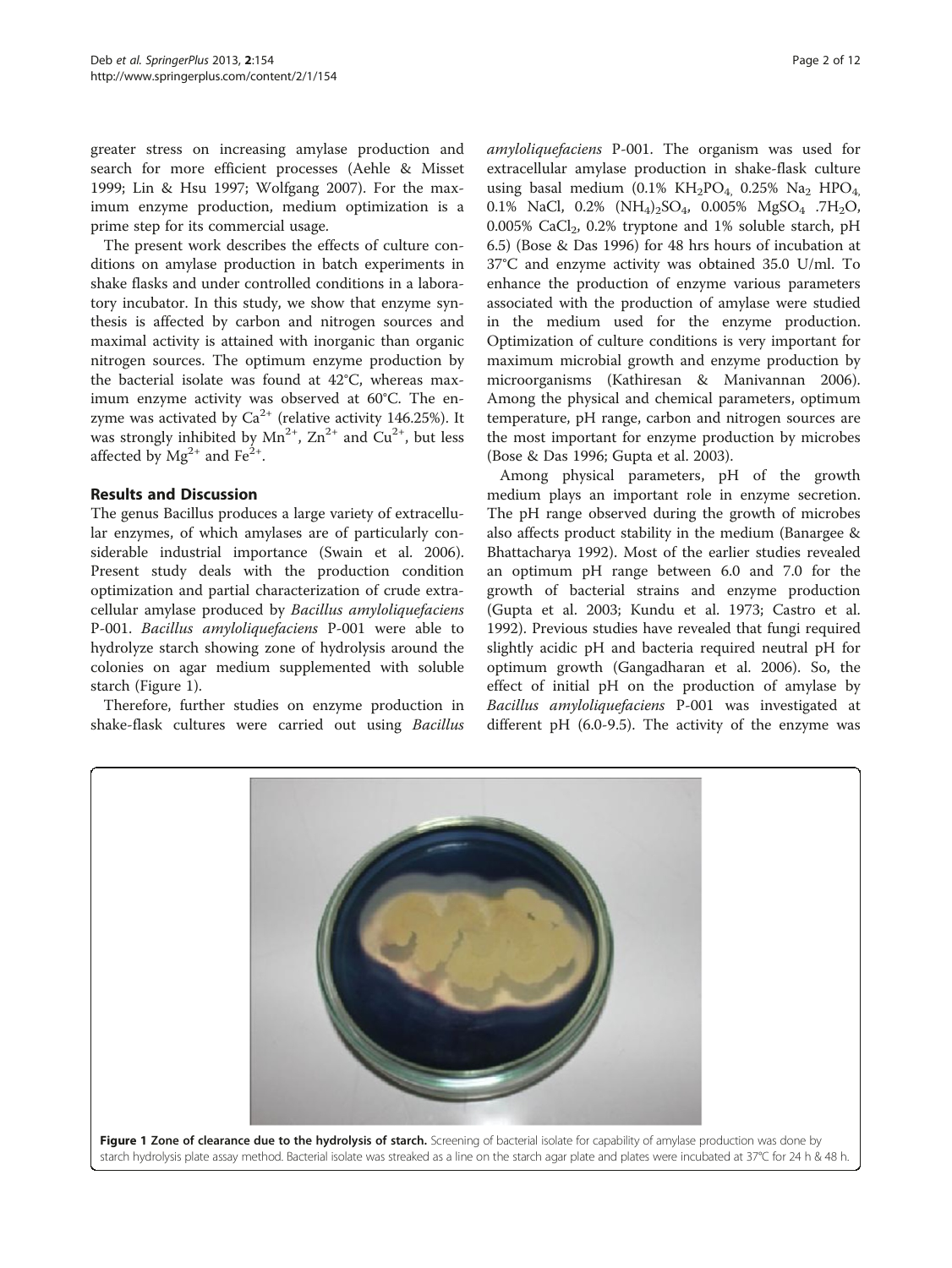greater stress on increasing amylase production and search for more efficient processes (Aehle & Misset [1999](#page-9-0); Lin & Hsu [1997](#page-10-0); Wolfgang [2007\)](#page-11-0). For the maximum enzyme production, medium optimization is a prime step for its commercial usage.

The present work describes the effects of culture conditions on amylase production in batch experiments in shake flasks and under controlled conditions in a laboratory incubator. In this study, we show that enzyme synthesis is affected by carbon and nitrogen sources and maximal activity is attained with inorganic than organic nitrogen sources. The optimum enzyme production by the bacterial isolate was found at 42°C, whereas maximum enzyme activity was observed at 60°C. The enzyme was activated by  $Ca^{2+}$  (relative activity 146.25%). It was strongly inhibited by  $Mn^{2+}$ ,  $Zn^{2+}$  and  $Cu^{2+}$ , but less affected by  $Mg^{2+}$  and Fe<sup>2+</sup>.

### Results and Discussion

The genus Bacillus produces a large variety of extracellular enzymes, of which amylases are of particularly considerable industrial importance (Swain et al. [2006](#page-10-0)). Present study deals with the production condition optimization and partial characterization of crude extracellular amylase produced by Bacillus amyloliquefaciens P-001. Bacillus amyloliquefaciens P-001 were able to hydrolyze starch showing zone of hydrolysis around the colonies on agar medium supplemented with soluble starch (Figure 1).

Therefore, further studies on enzyme production in shake-flask cultures were carried out using Bacillus amyloliquefaciens P-001. The organism was used for extracellular amylase production in shake-flask culture using basal medium (0.1%  $KH_2PO_4$ , 0.25% Na<sub>2</sub> HPO<sub>4</sub>, 0.1% NaCl, 0.2% (NH4)2SO4, 0.005% MgSO4 .7H2O, 0.005% CaCl2, 0.2% tryptone and 1% soluble starch, pH 6.5) (Bose & Das [1996\)](#page-10-0) for 48 hrs hours of incubation at 37°C and enzyme activity was obtained 35.0 U/ml. To enhance the production of enzyme various parameters associated with the production of amylase were studied in the medium used for the enzyme production. Optimization of culture conditions is very important for maximum microbial growth and enzyme production by microorganisms (Kathiresan & Manivannan [2006](#page-10-0)). Among the physical and chemical parameters, optimum temperature, pH range, carbon and nitrogen sources are the most important for enzyme production by microbes (Bose & Das [1996](#page-10-0); Gupta et al. [2003\)](#page-10-0).

Among physical parameters, pH of the growth medium plays an important role in enzyme secretion. The pH range observed during the growth of microbes also affects product stability in the medium (Banargee & Bhattacharya [1992](#page-10-0)). Most of the earlier studies revealed an optimum pH range between 6.0 and 7.0 for the growth of bacterial strains and enzyme production (Gupta et al. [2003;](#page-10-0) Kundu et al. [1973;](#page-10-0) Castro et al. [1992](#page-10-0)). Previous studies have revealed that fungi required slightly acidic pH and bacteria required neutral pH for optimum growth (Gangadharan et al. [2006\)](#page-10-0). So, the effect of initial pH on the production of amylase by Bacillus amyloliquefaciens P-001 was investigated at different pH (6.0-9.5). The activity of the enzyme was

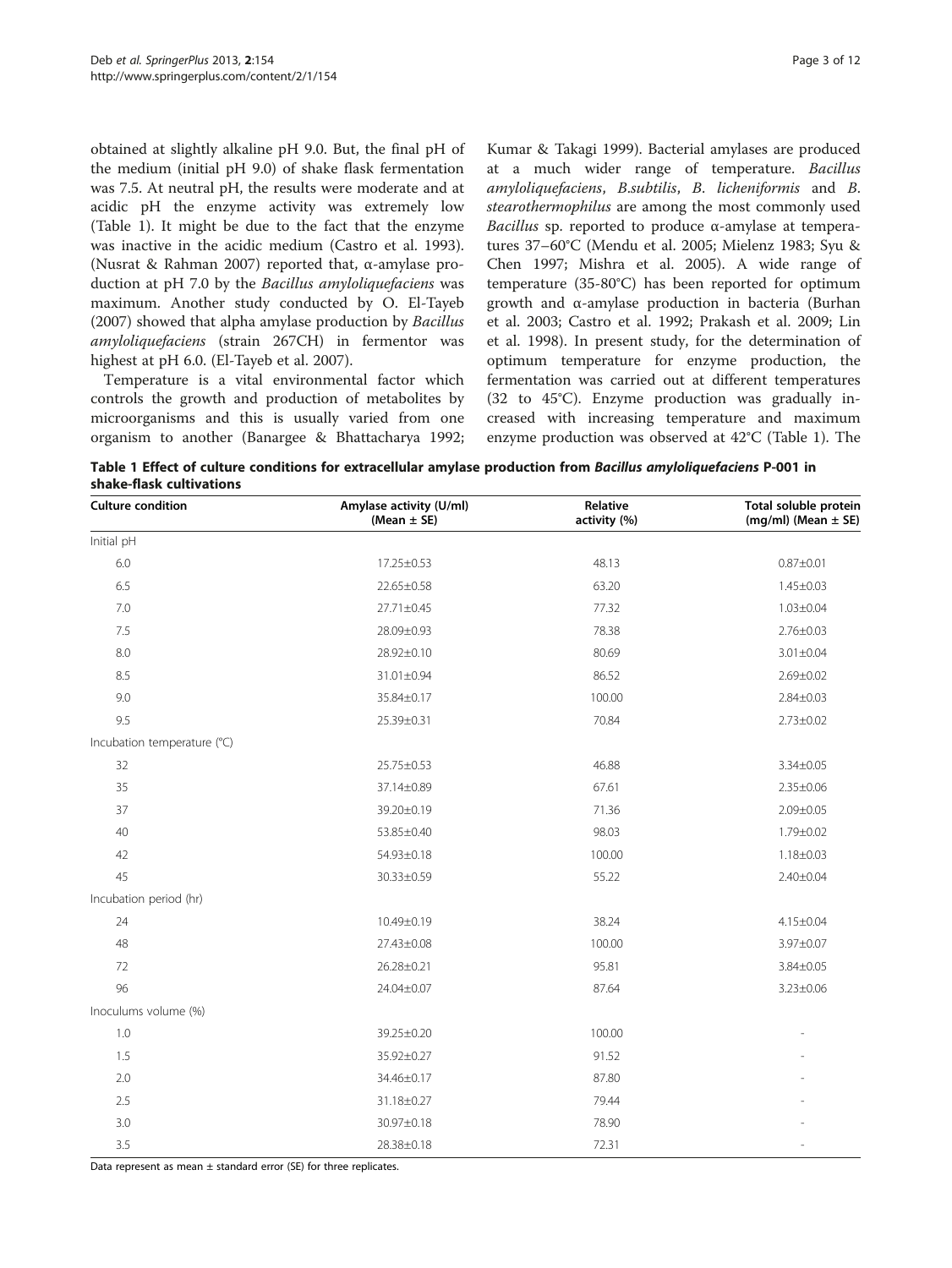<span id="page-2-0"></span>obtained at slightly alkaline pH 9.0. But, the final pH of the medium (initial pH 9.0) of shake flask fermentation was 7.5. At neutral pH, the results were moderate and at acidic pH the enzyme activity was extremely low (Table 1). It might be due to the fact that the enzyme was inactive in the acidic medium (Castro et al. [1993](#page-10-0)). (Nusrat & Rahman [2007\)](#page-10-0) reported that, α-amylase production at pH 7.0 by the Bacillus amyloliquefaciens was maximum. Another study conducted by O. El-Tayeb ([2007](#page-10-0)) showed that alpha amylase production by Bacillus amyloliquefaciens (strain 267CH) in fermentor was highest at pH 6.0. (El-Tayeb et al. [2007\)](#page-10-0).

Temperature is a vital environmental factor which controls the growth and production of metabolites by microorganisms and this is usually varied from one organism to another (Banargee & Bhattacharya [1992](#page-10-0); Kumar & Takagi [1999\)](#page-10-0). Bacterial amylases are produced at a much wider range of temperature. Bacillus amyloliquefaciens, B.subtilis, B. licheniformis and B. stearothermophilus are among the most commonly used Bacillus sp. reported to produce  $α$ -amylase at temperatures 37–60°C (Mendu et al. [2005](#page-10-0); Mielenz [1983;](#page-10-0) Syu & Chen [1997](#page-11-0); Mishra et al. [2005\)](#page-10-0). A wide range of temperature (35-80°C) has been reported for optimum growth and α-amylase production in bacteria (Burhan et al. [2003](#page-10-0); Castro et al. [1992](#page-10-0); Prakash et al. [2009;](#page-10-0) Lin et al. [1998\)](#page-10-0). In present study, for the determination of optimum temperature for enzyme production, the fermentation was carried out at different temperatures (32 to 45°C). Enzyme production was gradually increased with increasing temperature and maximum enzyme production was observed at 42°C (Table 1). The

Table 1 Effect of culture conditions for extracellular amylase production from Bacillus amyloliquefaciens P-001 in shake-flask cultivations

| <b>Culture condition</b>    | Amylase activity (U/ml)<br>(Mean $\pm$ SE) | Relative<br>activity (%) | Total soluble protein<br>$(mg/ml)$ (Mean $\pm$ SE) |
|-----------------------------|--------------------------------------------|--------------------------|----------------------------------------------------|
| Initial pH                  |                                            |                          |                                                    |
| 6.0                         | 17.25±0.53                                 | 48.13                    | $0.87 + 0.01$                                      |
| 6.5                         | 22.65±0.58                                 | 63.20                    | $1.45 \pm 0.03$                                    |
| 7.0                         | 27.71±0.45                                 | 77.32                    | $1.03 \pm 0.04$                                    |
| 7.5                         | 28.09±0.93                                 | 78.38                    | $2.76 \pm 0.03$                                    |
| 8.0                         | 28.92±0.10                                 | 80.69                    | $3.01 \pm 0.04$                                    |
| 8.5                         | 31.01±0.94                                 | 86.52                    | $2.69 \pm 0.02$                                    |
| 9.0                         | 35.84±0.17                                 | 100.00                   | $2.84 \pm 0.03$                                    |
| 9.5                         | 25.39±0.31                                 | 70.84                    | $2.73 \pm 0.02$                                    |
| Incubation temperature (°C) |                                            |                          |                                                    |
| 32                          | 25.75±0.53                                 | 46.88                    | 3.34±0.05                                          |
| 35                          | 37.14±0.89                                 | 67.61                    | $2.35 \pm 0.06$                                    |
| 37                          | 39.20±0.19                                 | 71.36                    | $2.09 \pm 0.05$                                    |
| 40                          | 53.85±0.40                                 | 98.03                    | 1.79±0.02                                          |
| 42                          | 54.93±0.18                                 | 100.00                   | $1.18 \pm 0.03$                                    |
| 45                          | 30.33±0.59                                 | 55.22                    | $2.40 \pm 0.04$                                    |
| Incubation period (hr)      |                                            |                          |                                                    |
| 24                          | 10.49±0.19                                 | 38.24                    | $4.15 \pm 0.04$                                    |
| 48                          | 27.43±0.08                                 | 100.00                   | 3.97±0.07                                          |
| 72                          | 26.28±0.21                                 | 95.81                    | 3.84±0.05                                          |
| 96                          | 24.04±0.07                                 | 87.64                    | $3.23 \pm 0.06$                                    |
| Inoculums volume (%)        |                                            |                          |                                                    |
| 1.0                         | 39.25±0.20                                 | 100.00                   |                                                    |
| 1.5                         | 35.92±0.27                                 | 91.52                    |                                                    |
| 2.0                         | 34.46±0.17                                 | 87.80                    |                                                    |
| 2.5                         | 31.18±0.27                                 | 79.44                    |                                                    |
| 3.0                         | 30.97±0.18                                 | 78.90                    |                                                    |
| 3.5                         | 28.38±0.18                                 | 72.31                    |                                                    |

Data represent as mean  $\pm$  standard error (SE) for three replicates.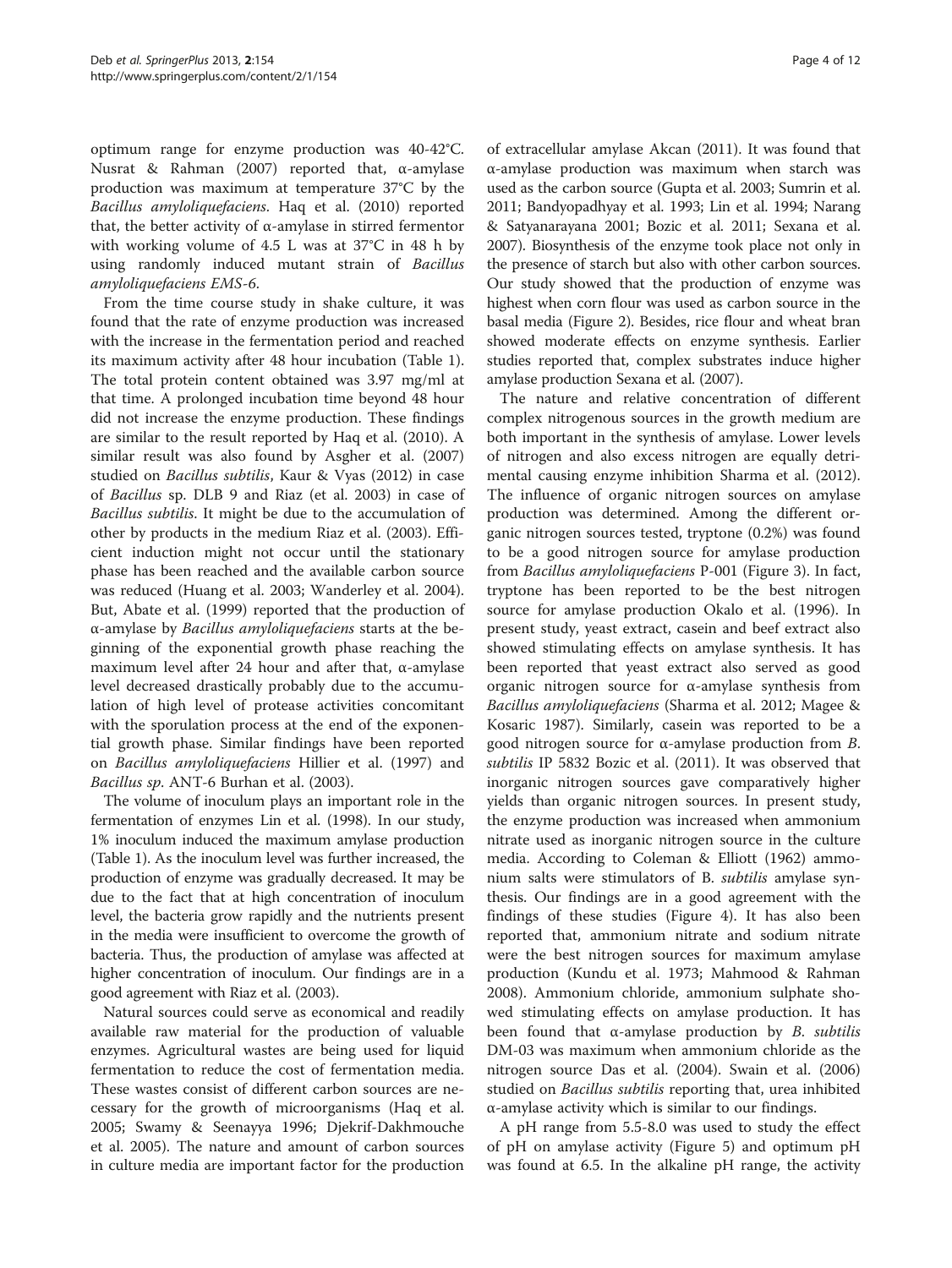optimum range for enzyme production was 40-42°C. Nusrat & Rahman [\(2007\)](#page-10-0) reported that, α-amylase production was maximum at temperature 37°C by the Bacillus amyloliquefaciens. Haq et al. [\(2010](#page-10-0)) reported that, the better activity of α-amylase in stirred fermentor with working volume of 4.5 L was at 37°C in 48 h by using randomly induced mutant strain of Bacillus amyloliquefaciens EMS-6.

From the time course study in shake culture, it was found that the rate of enzyme production was increased with the increase in the fermentation period and reached its maximum activity after 48 hour incubation (Table [1](#page-2-0)). The total protein content obtained was 3.97 mg/ml at that time. A prolonged incubation time beyond 48 hour did not increase the enzyme production. These findings are similar to the result reported by Haq et al. [\(2010\)](#page-10-0). A similar result was also found by Asgher et al. ([2007](#page-10-0)) studied on Bacillus subtilis, Kaur & Vyas [\(2012](#page-10-0)) in case of Bacillus sp. DLB 9 and Riaz (et al. [2003\)](#page-10-0) in case of Bacillus subtilis. It might be due to the accumulation of other by products in the medium Riaz et al. ([2003\)](#page-10-0). Efficient induction might not occur until the stationary phase has been reached and the available carbon source was reduced (Huang et al. [2003;](#page-10-0) Wanderley et al. [2004](#page-11-0)). But, Abate et al. [\(1999\)](#page-9-0) reported that the production of α-amylase by Bacillus amyloliquefaciens starts at the beginning of the exponential growth phase reaching the maximum level after 24 hour and after that, α-amylase level decreased drastically probably due to the accumulation of high level of protease activities concomitant with the sporulation process at the end of the exponential growth phase. Similar findings have been reported on Bacillus amyloliquefaciens Hillier et al. ([1997](#page-10-0)) and Bacillus sp. ANT-6 Burhan et al. ([2003](#page-10-0)).

The volume of inoculum plays an important role in the fermentation of enzymes Lin et al. ([1998](#page-10-0)). In our study, 1% inoculum induced the maximum amylase production (Table [1](#page-2-0)). As the inoculum level was further increased, the production of enzyme was gradually decreased. It may be due to the fact that at high concentration of inoculum level, the bacteria grow rapidly and the nutrients present in the media were insufficient to overcome the growth of bacteria. Thus, the production of amylase was affected at higher concentration of inoculum. Our findings are in a good agreement with Riaz et al. ([2003\)](#page-10-0).

Natural sources could serve as economical and readily available raw material for the production of valuable enzymes. Agricultural wastes are being used for liquid fermentation to reduce the cost of fermentation media. These wastes consist of different carbon sources are necessary for the growth of microorganisms (Haq et al. [2005](#page-10-0); Swamy & Seenayya [1996;](#page-11-0) Djekrif-Dakhmouche et al. [2005](#page-10-0)). The nature and amount of carbon sources in culture media are important factor for the production of extracellular amylase Akcan [\(2011\)](#page-9-0). It was found that α-amylase production was maximum when starch was used as the carbon source (Gupta et al. [2003;](#page-10-0) Sumrin et al. [2011](#page-10-0); Bandyopadhyay et al. [1993](#page-10-0); Lin et al. [1994](#page-10-0); Narang & Satyanarayana [2001;](#page-10-0) Bozic et al. [2011](#page-10-0); Sexana et al. [2007](#page-10-0)). Biosynthesis of the enzyme took place not only in the presence of starch but also with other carbon sources. Our study showed that the production of enzyme was highest when corn flour was used as carbon source in the basal media (Figure [2\)](#page-4-0). Besides, rice flour and wheat bran showed moderate effects on enzyme synthesis. Earlier studies reported that, complex substrates induce higher amylase production Sexana et al. ([2007](#page-10-0)).

The nature and relative concentration of different complex nitrogenous sources in the growth medium are both important in the synthesis of amylase. Lower levels of nitrogen and also excess nitrogen are equally detrimental causing enzyme inhibition Sharma et al. ([2012](#page-10-0)). The influence of organic nitrogen sources on amylase production was determined. Among the different organic nitrogen sources tested, tryptone (0.2%) was found to be a good nitrogen source for amylase production from Bacillus amyloliquefaciens P-001 (Figure [3\)](#page-4-0). In fact, tryptone has been reported to be the best nitrogen source for amylase production Okalo et al. ([1996\)](#page-10-0). In present study, yeast extract, casein and beef extract also showed stimulating effects on amylase synthesis. It has been reported that yeast extract also served as good organic nitrogen source for α-amylase synthesis from Bacillus amyloliquefaciens (Sharma et al. [2012;](#page-10-0) Magee & Kosaric [1987](#page-10-0)). Similarly, casein was reported to be a good nitrogen source for α-amylase production from B. subtilis IP 5832 Bozic et al. [\(2011\)](#page-10-0). It was observed that inorganic nitrogen sources gave comparatively higher yields than organic nitrogen sources. In present study, the enzyme production was increased when ammonium nitrate used as inorganic nitrogen source in the culture media. According to Coleman & Elliott ([1962](#page-10-0)) ammonium salts were stimulators of B. subtilis amylase synthesis. Our findings are in a good agreement with the findings of these studies (Figure [4\)](#page-5-0). It has also been reported that, ammonium nitrate and sodium nitrate were the best nitrogen sources for maximum amylase production (Kundu et al. [1973;](#page-10-0) Mahmood & Rahman [2008](#page-10-0)). Ammonium chloride, ammonium sulphate showed stimulating effects on amylase production. It has been found that  $\alpha$ -amylase production by *B*. *subtilis* DM-03 was maximum when ammonium chloride as the nitrogen source Das et al. ([2004](#page-10-0)). Swain et al. ([2006](#page-10-0)) studied on *Bacillus subtilis* reporting that, urea inhibited α-amylase activity which is similar to our findings.

A pH range from 5.5-8.0 was used to study the effect of pH on amylase activity (Figure [5\)](#page-5-0) and optimum pH was found at 6.5. In the alkaline pH range, the activity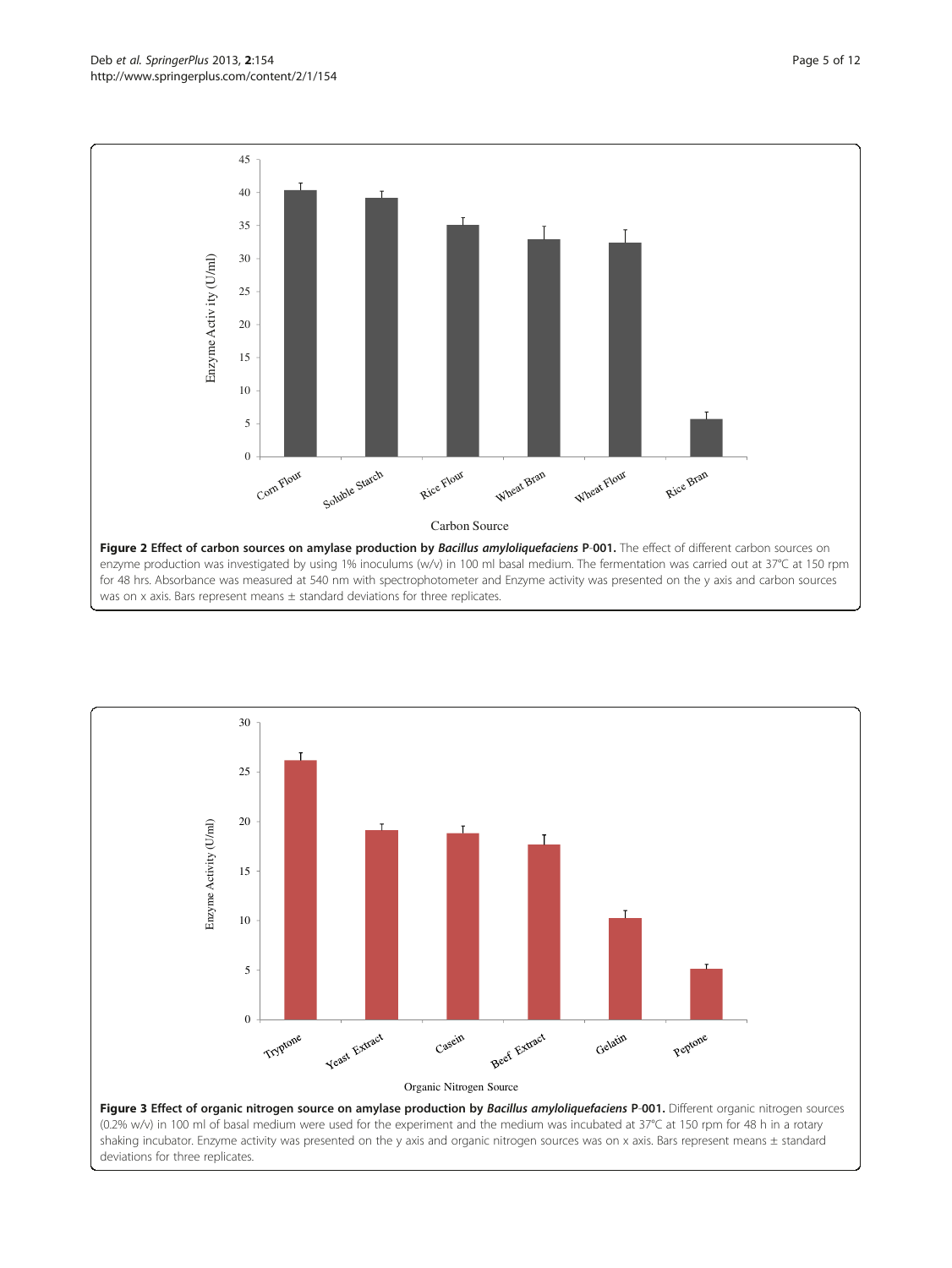<span id="page-4-0"></span>

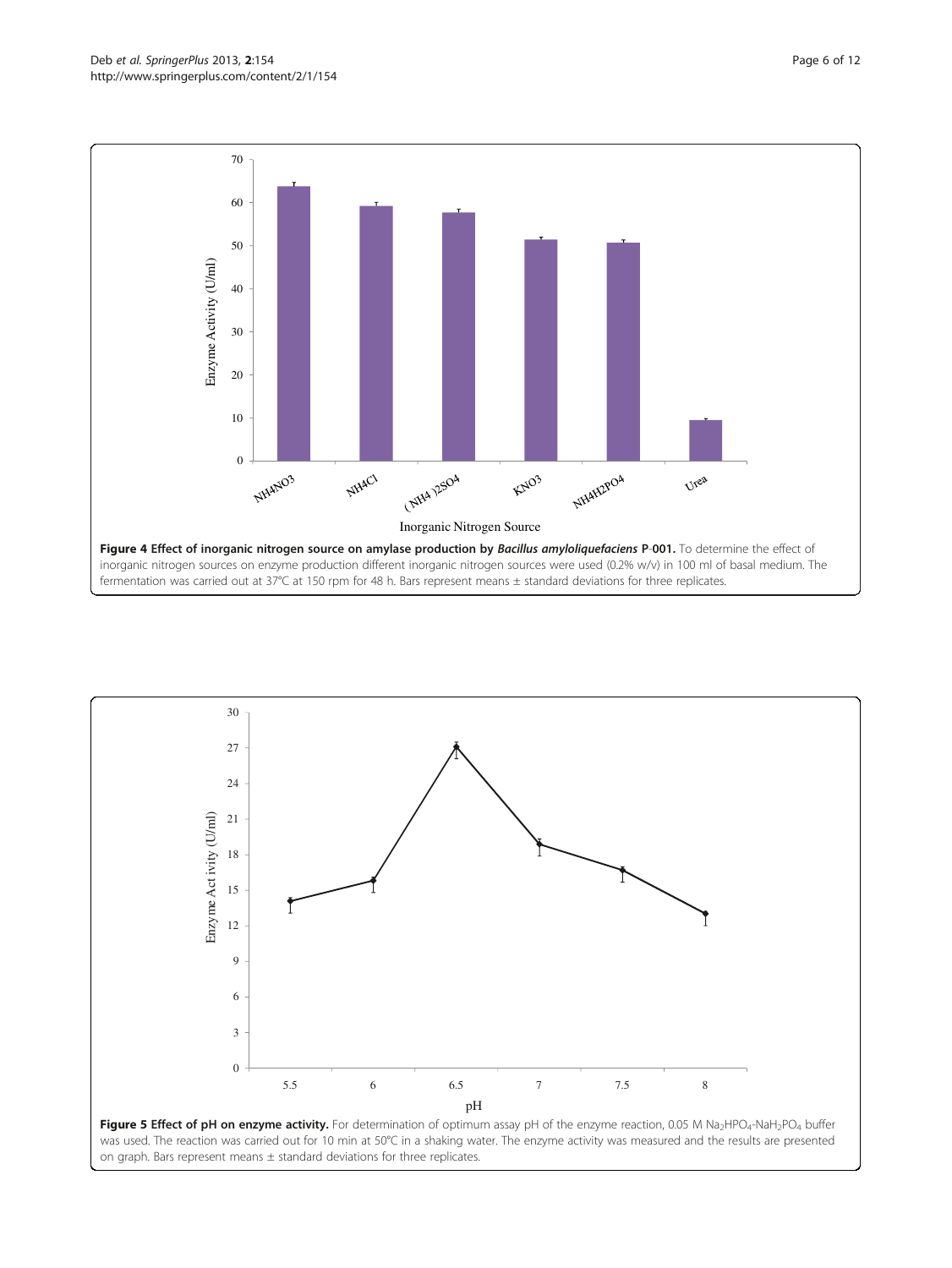

<span id="page-5-0"></span>

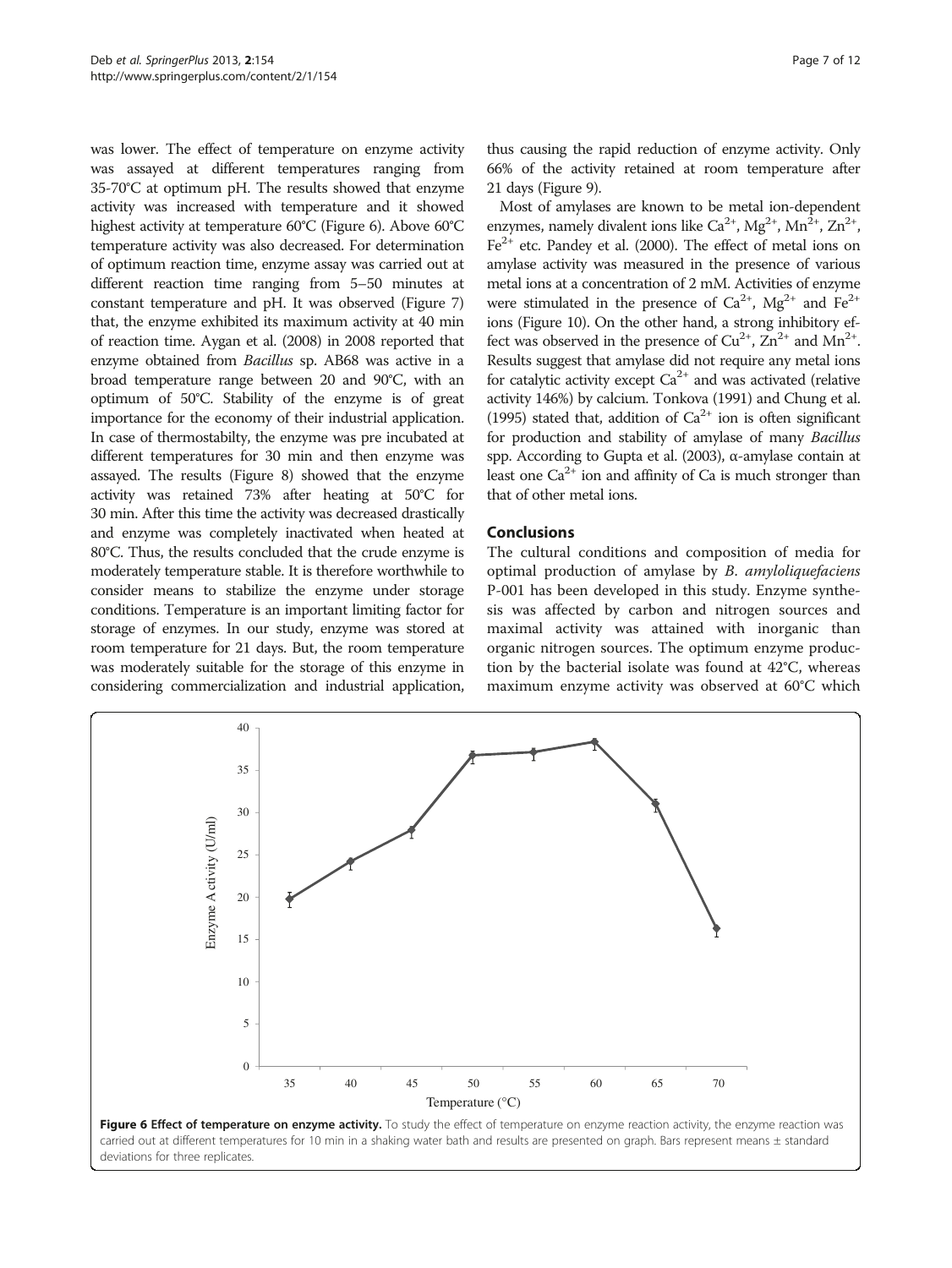was lower. The effect of temperature on enzyme activity was assayed at different temperatures ranging from 35-70°C at optimum pH. The results showed that enzyme activity was increased with temperature and it showed highest activity at temperature 60°C (Figure 6). Above 60°C temperature activity was also decreased. For determination of optimum reaction time, enzyme assay was carried out at different reaction time ranging from 5–50 minutes at constant temperature and pH. It was observed (Figure [7](#page-7-0)) that, the enzyme exhibited its maximum activity at 40 min of reaction time. Aygan et al. ([2008](#page-10-0)) in 2008 reported that enzyme obtained from Bacillus sp. AB68 was active in a broad temperature range between 20 and 90°C, with an optimum of 50°C. Stability of the enzyme is of great importance for the economy of their industrial application. In case of thermostabilty, the enzyme was pre incubated at different temperatures for 30 min and then enzyme was assayed. The results (Figure [8\)](#page-7-0) showed that the enzyme activity was retained 73% after heating at 50°C for 30 min. After this time the activity was decreased drastically and enzyme was completely inactivated when heated at 80°C. Thus, the results concluded that the crude enzyme is moderately temperature stable. It is therefore worthwhile to consider means to stabilize the enzyme under storage conditions. Temperature is an important limiting factor for storage of enzymes. In our study, enzyme was stored at room temperature for 21 days. But, the room temperature was moderately suitable for the storage of this enzyme in considering commercialization and industrial application, thus causing the rapid reduction of enzyme activity. Only 66% of the activity retained at room temperature after 21 days (Figure [9](#page-8-0)).

Most of amylases are known to be metal ion-dependent enzymes, namely divalent ions like  $Ca^{2+}$ ,  $Mg^{2+}$ ,  $Mn^2$ ,  $Zn^2$ ,  $Fe<sup>2+</sup>$  etc. Pandey et al. [\(2000](#page-10-0)). The effect of metal ions on amylase activity was measured in the presence of various metal ions at a concentration of 2 mM. Activities of enzyme were stimulated in the presence of  $Ca^{2+}$ ,  $Mg^{2+}$  and  $Fe^{2+}$ ions (Figure [10](#page-8-0)). On the other hand, a strong inhibitory effect was observed in the presence of  $Cu^{2+}$ ,  $Zn^{2+}$  and  $Mn^{2+}$ . Results suggest that amylase did not require any metal ions for catalytic activity except  $Ca^{2+}$  and was activated (relative activity 146%) by calcium. Tonkova [\(1991\)](#page-11-0) and Chung et al. ([1995\)](#page-10-0) stated that, addition of  $Ca^{2+}$  ion is often significant for production and stability of amylase of many Bacillus spp. According to Gupta et al. ([2003\)](#page-10-0), α-amylase contain at least one  $Ca^{2+}$  ion and affinity of Ca is much stronger than that of other metal ions.

## Conclusions

The cultural conditions and composition of media for optimal production of amylase by B. amyloliquefaciens P-001 has been developed in this study. Enzyme synthesis was affected by carbon and nitrogen sources and maximal activity was attained with inorganic than organic nitrogen sources. The optimum enzyme production by the bacterial isolate was found at 42°C, whereas maximum enzyme activity was observed at 60°C which

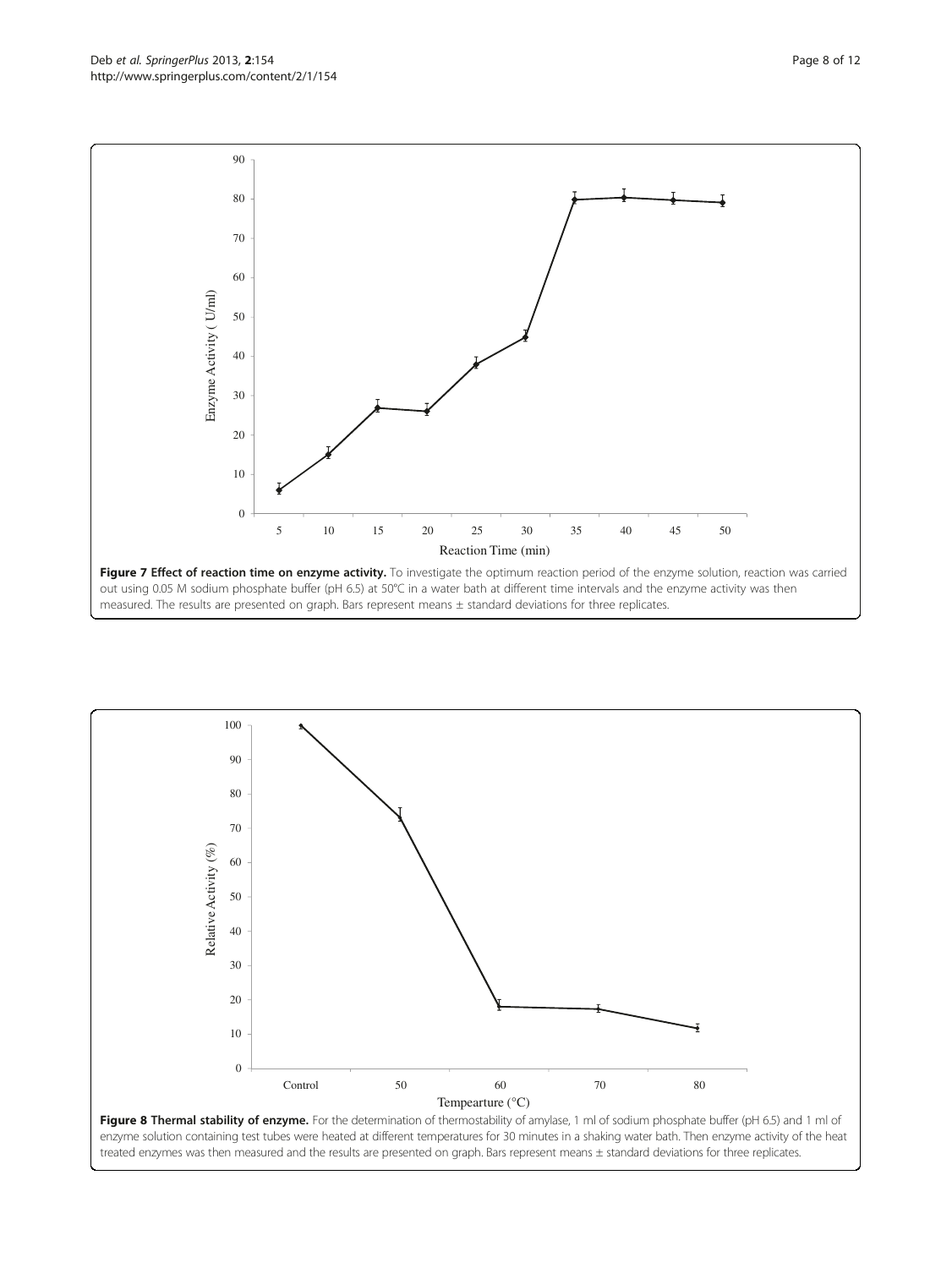out using 0.05 M sodium phosphate buffer (pH 6.5) at 50°C in a water bath at different time intervals and the enzyme activity was then measured. The results are presented on graph. Bars represent means ± standard deviations for three replicates.





<span id="page-7-0"></span>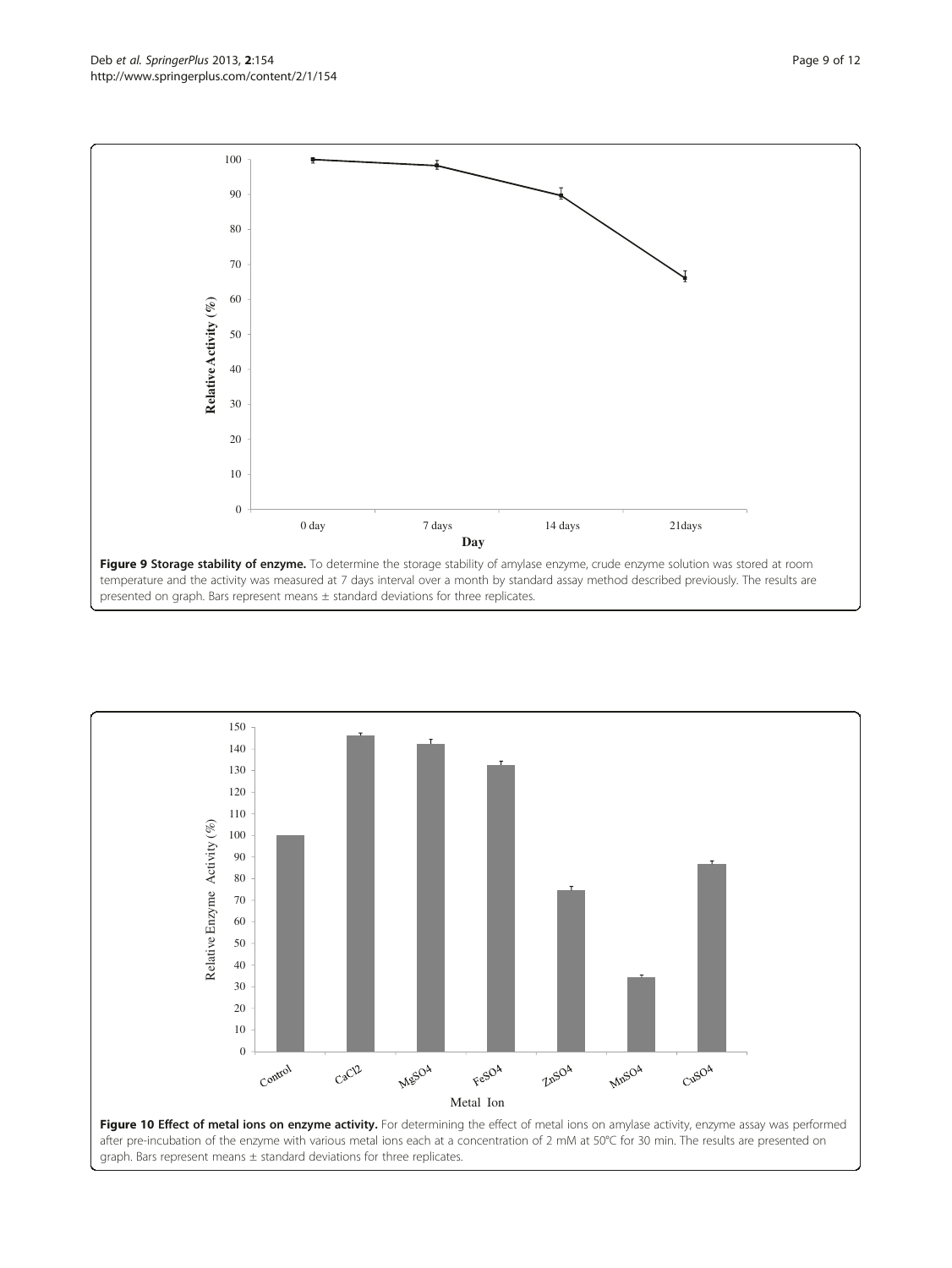<span id="page-8-0"></span>Deb *et al. SpringerPlus* 2013, **2**:154<br>http://www.springerplus.com/content/2/1/154



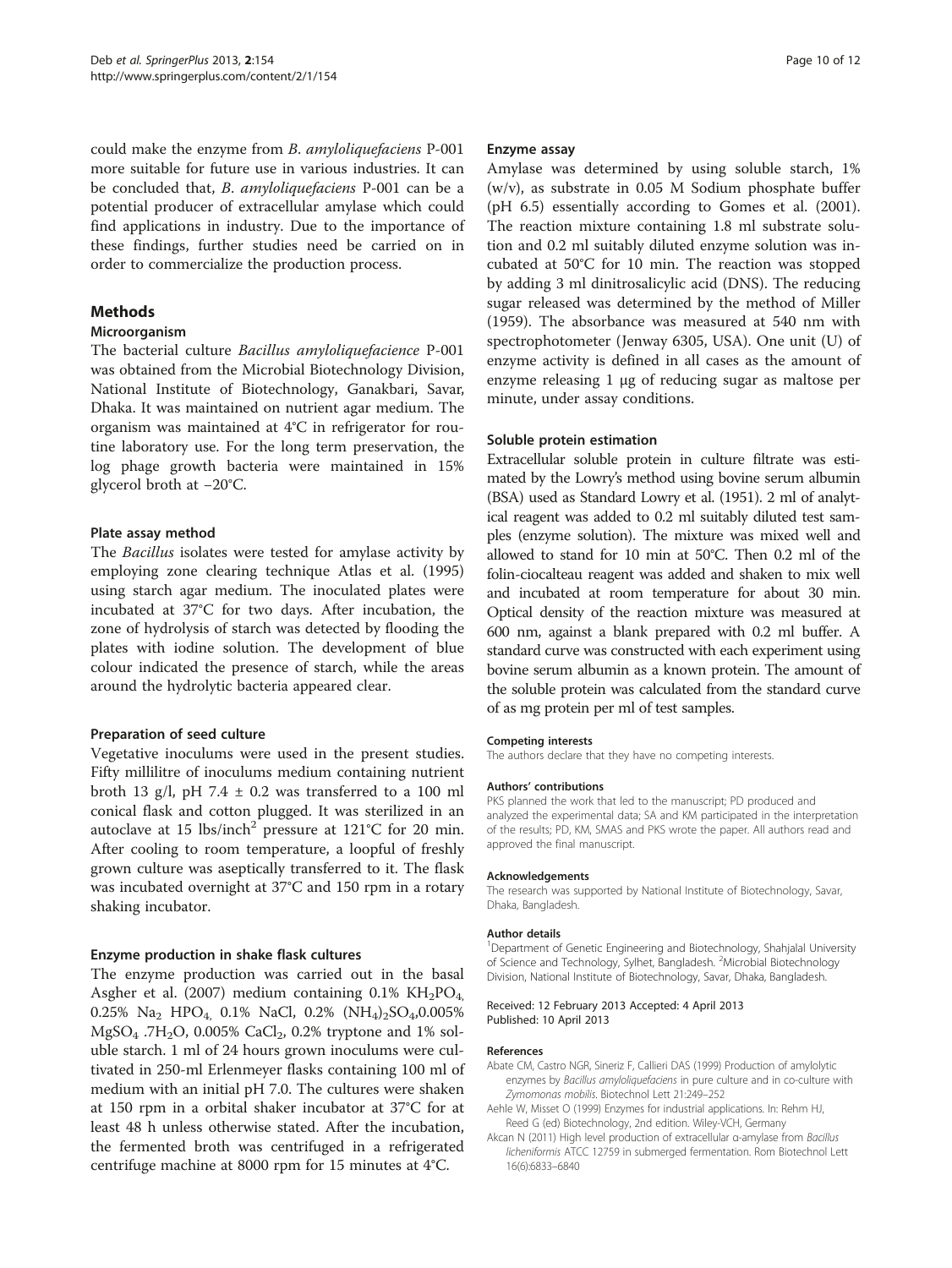<span id="page-9-0"></span>could make the enzyme from B. amyloliquefaciens P-001 more suitable for future use in various industries. It can be concluded that, B. amyloliquefaciens P-001 can be a potential producer of extracellular amylase which could find applications in industry. Due to the importance of these findings, further studies need be carried on in order to commercialize the production process.

## Methods

#### Microorganism

The bacterial culture Bacillus amyloliquefacience P-001 was obtained from the Microbial Biotechnology Division, National Institute of Biotechnology, Ganakbari, Savar, Dhaka. It was maintained on nutrient agar medium. The organism was maintained at 4°C in refrigerator for routine laboratory use. For the long term preservation, the log phage growth bacteria were maintained in 15% glycerol broth at −20°C.

#### Plate assay method

The Bacillus isolates were tested for amylase activity by employing zone clearing technique Atlas et al. ([1995](#page-10-0)) using starch agar medium. The inoculated plates were incubated at 37°C for two days. After incubation, the zone of hydrolysis of starch was detected by flooding the plates with iodine solution. The development of blue colour indicated the presence of starch, while the areas around the hydrolytic bacteria appeared clear.

#### Preparation of seed culture

Vegetative inoculums were used in the present studies. Fifty millilitre of inoculums medium containing nutrient broth 13 g/l, pH 7.4  $\pm$  0.2 was transferred to a 100 ml conical flask and cotton plugged. It was sterilized in an autoclave at 15 lbs/inch<sup>2</sup> pressure at 121°C for 20 min. After cooling to room temperature, a loopful of freshly grown culture was aseptically transferred to it. The flask was incubated overnight at 37°C and 150 rpm in a rotary shaking incubator.

#### Enzyme production in shake flask cultures

The enzyme production was carried out in the basal Asgher et al. [\(2007](#page-10-0)) medium containing 0.1%  $KH_2PO_4$ , 0.25% Na<sub>2</sub> HPO<sub>4</sub>, 0.1% NaCl, 0.2%  $(NH_4)_2SO_4,0.005%$  $MgSO<sub>4</sub>$ .7H<sub>2</sub>O, 0.005% CaCl<sub>2</sub>, 0.2% tryptone and 1% soluble starch. 1 ml of 24 hours grown inoculums were cultivated in 250-ml Erlenmeyer flasks containing 100 ml of medium with an initial pH 7.0. The cultures were shaken at 150 rpm in a orbital shaker incubator at 37°C for at least 48 h unless otherwise stated. After the incubation, the fermented broth was centrifuged in a refrigerated centrifuge machine at 8000 rpm for 15 minutes at 4°C.

#### Enzyme assay

Amylase was determined by using soluble starch, 1% (w/v), as substrate in 0.05 M Sodium phosphate buffer (pH 6.5) essentially according to Gomes et al. ([2001](#page-10-0)). The reaction mixture containing 1.8 ml substrate solution and 0.2 ml suitably diluted enzyme solution was incubated at 50°C for 10 min. The reaction was stopped by adding 3 ml dinitrosalicylic acid (DNS). The reducing sugar released was determined by the method of Miller ([1959\)](#page-10-0). The absorbance was measured at 540 nm with spectrophotometer (Jenway 6305, USA). One unit (U) of enzyme activity is defined in all cases as the amount of enzyme releasing 1 μg of reducing sugar as maltose per minute, under assay conditions.

## Soluble protein estimation

Extracellular soluble protein in culture filtrate was estimated by the Lowry's method using bovine serum albumin (BSA) used as Standard Lowry et al. [\(1951](#page-10-0)). 2 ml of analytical reagent was added to 0.2 ml suitably diluted test samples (enzyme solution). The mixture was mixed well and allowed to stand for 10 min at 50°C. Then 0.2 ml of the folin-ciocalteau reagent was added and shaken to mix well and incubated at room temperature for about 30 min. Optical density of the reaction mixture was measured at 600 nm, against a blank prepared with 0.2 ml buffer. A standard curve was constructed with each experiment using bovine serum albumin as a known protein. The amount of the soluble protein was calculated from the standard curve of as mg protein per ml of test samples.

#### Competing interests

The authors declare that they have no competing interests.

#### Authors' contributions

PKS planned the work that led to the manuscript; PD produced and analyzed the experimental data; SA and KM participated in the interpretation of the results; PD, KM, SMAS and PKS wrote the paper. All authors read and approved the final manuscript.

#### Acknowledgements

The research was supported by National Institute of Biotechnology, Savar, Dhaka, Bangladesh.

#### Author details

<sup>1</sup>Department of Genetic Engineering and Biotechnology, Shahjalal University of Science and Technology, Sylhet, Bangladesh. <sup>2</sup>Microbial Biotechnology Division, National Institute of Biotechnology, Savar, Dhaka, Bangladesh.

#### Received: 12 February 2013 Accepted: 4 April 2013 Published: 10 April 2013

#### References

- Abate CM, Castro NGR, Sineriz F, Callieri DAS (1999) Production of amylolytic enzymes by Bacillus amyloliquefaciens in pure culture and in co-culture with Zymomonas mobilis. Biotechnol Lett 21:249–252
- Aehle W, Misset O (1999) Enzymes for industrial applications. In: Rehm HJ, Reed G (ed) Biotechnology, 2nd edition. Wiley-VCH, Germany
- Akcan N (2011) High level production of extracellular α-amylase from Bacillus licheniformis ATCC 12759 in submerged fermentation. Rom Biotechnol Lett 16(6):6833–6840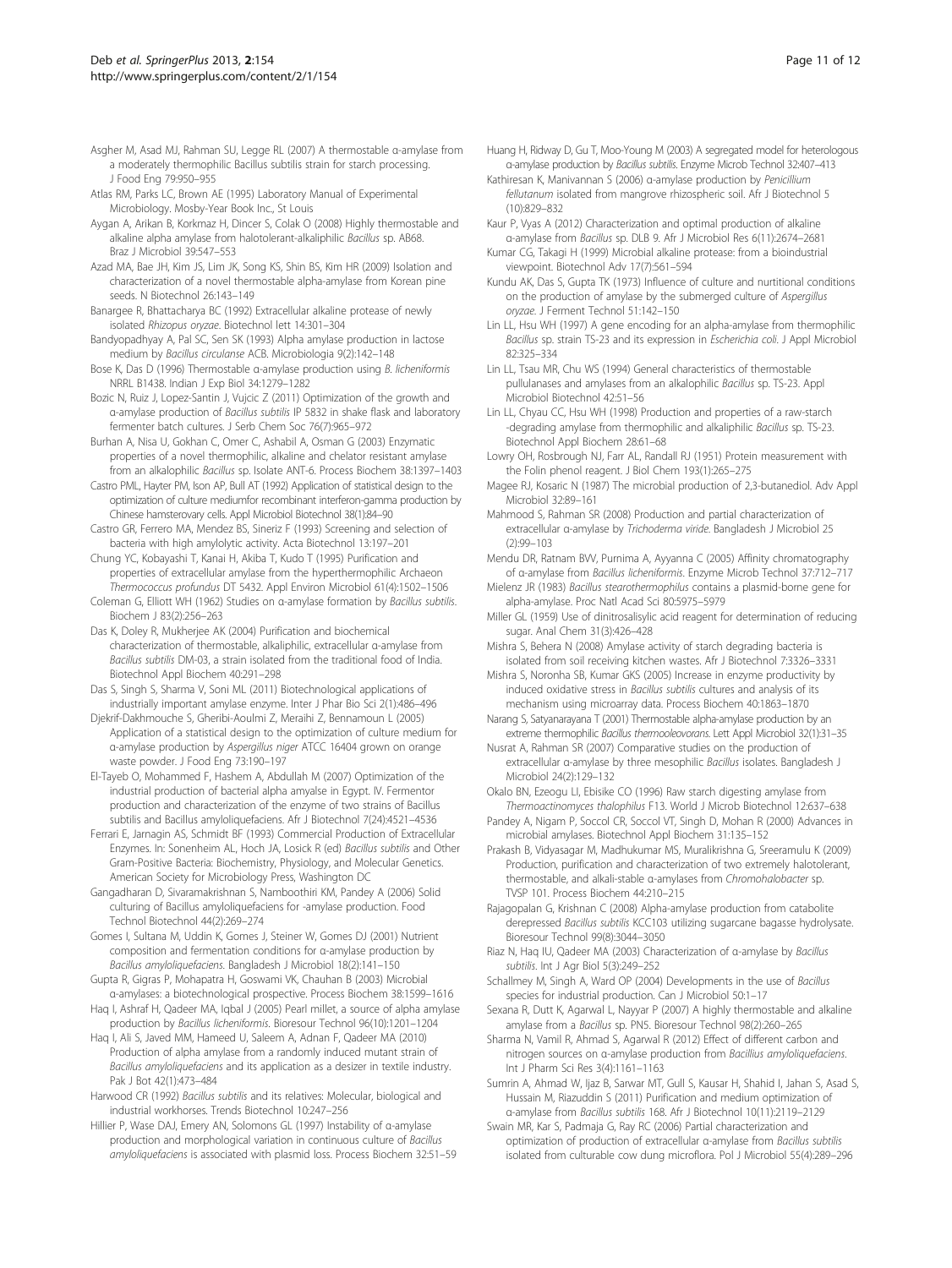- <span id="page-10-0"></span>Asgher M, Asad MJ, Rahman SU, Legge RL (2007) A thermostable α-amylase from a moderately thermophilic Bacillus subtilis strain for starch processing. J Food Eng 79:950–955
- Atlas RM, Parks LC, Brown AE (1995) Laboratory Manual of Experimental Microbiology. Mosby-Year Book Inc., St Louis
- Aygan A, Arikan B, Korkmaz H, Dincer S, Colak O (2008) Highly thermostable and alkaline alpha amylase from halotolerant-alkaliphilic Bacillus sp. AB68. Braz J Microbiol 39:547–553
- Azad MA, Bae JH, Kim JS, Lim JK, Song KS, Shin BS, Kim HR (2009) Isolation and characterization of a novel thermostable alpha-amylase from Korean pine seeds. N Biotechnol 26:143–149
- Banargee R, Bhattacharya BC (1992) Extracellular alkaline protease of newly isolated Rhizopus oryzae. Biotechnol lett 14:301–304
- Bandyopadhyay A, Pal SC, Sen SK (1993) Alpha amylase production in lactose medium by Bacillus circulanse ACB. Microbiologia 9(2):142–148
- Bose K, Das D (1996) Thermostable α-amylase production using B. licheniformis NRRL B1438. Indian J Exp Biol 34:1279–1282
- Bozic N, Ruiz J, Lopez-Santin J, Vujcic Z (2011) Optimization of the growth and α-amylase production of Bacillus subtilis IP 5832 in shake flask and laboratory fermenter batch cultures. J Serb Chem Soc 76(7):965–972
- Burhan A, Nisa U, Gokhan C, Omer C, Ashabil A, Osman G (2003) Enzymatic properties of a novel thermophilic, alkaline and chelator resistant amylase from an alkalophilic Bacillus sp. Isolate ANT-6. Process Biochem 38:1397–1403
- Castro PML, Hayter PM, Ison AP, Bull AT (1992) Application of statistical design to the optimization of culture mediumfor recombinant interferon-gamma production by Chinese hamsterovary cells. Appl Microbiol Biotechnol 38(1):84–90
- Castro GR, Ferrero MA, Mendez BS, Sineriz F (1993) Screening and selection of bacteria with high amylolytic activity. Acta Biotechnol 13:197–201
- Chung YC, Kobayashi T, Kanai H, Akiba T, Kudo T (1995) Purification and properties of extracellular amylase from the hyperthermophilic Archaeon Thermococcus profundus DT 5432. Appl Environ Microbiol 61(4):1502–1506
- Coleman G, Elliott WH (1962) Studies on α-amylase formation by Bacillus subtilis. Biochem J 83(2):256–263
- Das K, Doley R, Mukherjee AK (2004) Purification and biochemical characterization of thermostable, alkaliphilic, extracellular α-amylase from Bacillus subtilis DM-03, a strain isolated from the traditional food of India. Biotechnol Appl Biochem 40:291–298
- Das S, Singh S, Sharma V, Soni ML (2011) Biotechnological applications of industrially important amylase enzyme. Inter J Phar Bio Sci 2(1):486–496
- Djekrif-Dakhmouche S, Gheribi-Aoulmi Z, Meraihi Z, Bennamoun L (2005) Application of a statistical design to the optimization of culture medium for α-amylase production by Aspergillus niger ATCC 16404 grown on orange waste powder. J Food Eng 73:190–197
- El-Tayeb O, Mohammed F, Hashem A, Abdullah M (2007) Optimization of the industrial production of bacterial alpha amyalse in Egypt. IV. Fermentor production and characterization of the enzyme of two strains of Bacillus subtilis and Bacillus amyloliquefaciens. Afr J Biotechnol 7(24):4521–4536
- Ferrari E, Jarnagin AS, Schmidt BF (1993) Commercial Production of Extracellular Enzymes. In: Sonenheim AL, Hoch JA, Losick R (ed) Bacillus subtilis and Other Gram-Positive Bacteria: Biochemistry, Physiology, and Molecular Genetics. American Society for Microbiology Press, Washington DC
- Gangadharan D, Sivaramakrishnan S, Namboothiri KM, Pandey A (2006) Solid culturing of Bacillus amyloliquefaciens for -amylase production. Food Technol Biotechnol 44(2):269–274
- Gomes I, Sultana M, Uddin K, Gomes J, Steiner W, Gomes DJ (2001) Nutrient composition and fermentation conditions for α-amylase production by Bacillus amyloliquefaciens. Bangladesh J Microbiol 18(2):141–150
- Gupta R, Gigras P, Mohapatra H, Goswami VK, Chauhan B (2003) Microbial α-amylases: a biotechnological prospective. Process Biochem 38:1599–1616
- Haq I, Ashraf H, Qadeer MA, Iqbal J (2005) Pearl millet, a source of alpha amylase production by Bacillus licheniformis. Bioresour Technol 96(10):1201–1204
- Haq I, Ali S, Javed MM, Hameed U, Saleem A, Adnan F, Qadeer MA (2010) Production of alpha amylase from a randomly induced mutant strain of Bacillus amyloliquefaciens and its application as a desizer in textile industry. Pak J Bot 42(1):473–484
- Harwood CR (1992) Bacillus subtilis and its relatives: Molecular, biological and industrial workhorses. Trends Biotechnol 10:247–256
- Hillier P, Wase DAJ, Emery AN, Solomons GL (1997) Instability of α-amylase production and morphological variation in continuous culture of Bacillus amyloliquefaciens is associated with plasmid loss. Process Biochem 32:51–59
- Huang H, Ridway D, Gu T, Moo-Young M (2003) A segregated model for heterologous α-amylase production by Bacillus subtilis. Enzyme Microb Technol 32:407–413
- Kathiresan K, Manivannan S (2006) α-amylase production by Penicillium fellutanum isolated from mangrove rhizospheric soil. Afr J Biotechnol 5 (10):829–832
- Kaur P, Vyas A (2012) Characterization and optimal production of alkaline α-amylase from Bacillus sp. DLB 9. Afr J Microbiol Res 6(11):2674–2681
- Kumar CG, Takagi H (1999) Microbial alkaline protease: from a bioindustrial viewpoint. Biotechnol Adv 17(7):561–594
- Kundu AK, Das S, Gupta TK (1973) Influence of culture and nurtitional conditions on the production of amylase by the submerged culture of Aspergillus oryzae. J Ferment Technol 51:142–150
- Lin LL, Hsu WH (1997) A gene encoding for an alpha-amylase from thermophilic Bacillus sp. strain TS-23 and its expression in Escherichia coli. J Appl Microbiol 82:325–334
- Lin LL, Tsau MR, Chu WS (1994) General characteristics of thermostable pullulanases and amylases from an alkalophilic Bacillus sp. TS-23. Appl Microbiol Biotechnol 42:51–56
- Lin LL, Chyau CC, Hsu WH (1998) Production and properties of a raw-starch -degrading amylase from thermophilic and alkaliphilic Bacillus sp. TS-23. Biotechnol Appl Biochem 28:61–68
- Lowry OH, Rosbrough NJ, Farr AL, Randall RJ (1951) Protein measurement with the Folin phenol reagent. J Biol Chem 193(1):265–275
- Magee RJ, Kosaric N (1987) The microbial production of 2,3-butanediol. Adv Appl Microbiol 32:89–161
- Mahmood S, Rahman SR (2008) Production and partial characterization of extracellular α-amylase by Trichoderma viride. Bangladesh J Microbiol 25 (2):99–103
- Mendu DR, Ratnam BVV, Purnima A, Ayyanna C (2005) Affinity chromatography of α-amylase from Bacillus licheniformis. Enzyme Microb Technol 37:712–717
- Mielenz JR (1983) Bacillus stearothermophilus contains a plasmid-borne gene for alpha-amylase. Proc Natl Acad Sci 80:5975–5979
- Miller GL (1959) Use of dinitrosalisylic acid reagent for determination of reducing sugar. Anal Chem 31(3):426–428
- Mishra S, Behera N (2008) Amylase activity of starch degrading bacteria is isolated from soil receiving kitchen wastes. Afr J Biotechnol 7:3326–3331
- Mishra S, Noronha SB, Kumar GKS (2005) Increase in enzyme productivity by induced oxidative stress in Bacillus subtilis cultures and analysis of its mechanism using microarray data. Process Biochem 40:1863–1870
- Narang S, Satyanarayana T (2001) Thermostable alpha-amylase production by an extreme thermophilic Bacillus thermooleovorans. Lett Appl Microbiol 32(1):31–35
- Nusrat A, Rahman SR (2007) Comparative studies on the production of extracellular α-amylase by three mesophilic Bacillus isolates. Bangladesh J Microbiol 24(2):129–132

Okalo BN, Ezeogu LI, Ebisike CO (1996) Raw starch digesting amylase from Thermoactinomyces thalophilus F13. World J Microb Biotechnol 12:637–638

- Pandey A, Nigam P, Soccol CR, Soccol VT, Singh D, Mohan R (2000) Advances in microbial amylases. Biotechnol Appl Biochem 31:135–152
- Prakash B, Vidyasagar M, Madhukumar MS, Muralikrishna G, Sreeramulu K (2009) Production, purification and characterization of two extremely halotolerant, thermostable, and alkali-stable α-amylases from Chromohalobacter sp. TVSP 101. Process Biochem 44:210–215
- Rajagopalan G, Krishnan C (2008) Alpha-amylase production from catabolite derepressed Bacillus subtilis KCC103 utilizing sugarcane bagasse hydrolysate. Bioresour Technol 99(8):3044–3050
- Riaz N, Haq IU, Qadeer MA (2003) Characterization of α-amylase by Bacillus subtilis. Int J Agr Biol 5(3):249–252
- Schallmey M, Singh A, Ward OP (2004) Developments in the use of Bacillus species for industrial production. Can J Microbiol 50:1–17
- Sexana R, Dutt K, Agarwal L, Nayyar P (2007) A highly thermostable and alkaline amylase from a Bacillus sp. PN5. Bioresour Technol 98(2):260–265
- Sharma N, Vamil R, Ahmad S, Agarwal R (2012) Effect of different carbon and nitrogen sources on α-amylase production from Bacillius amyloliquefaciens. Int J Pharm Sci Res 3(4):1161–1163
- Sumrin A, Ahmad W, Ijaz B, Sarwar MT, Gull S, Kausar H, Shahid I, Jahan S, Asad S, Hussain M, Riazuddin S (2011) Purification and medium optimization of α-amylase from Bacillus subtilis 168. Afr J Biotechnol 10(11):2119–2129
- Swain MR, Kar S, Padmaja G, Ray RC (2006) Partial characterization and optimization of production of extracellular α-amylase from Bacillus subtilis isolated from culturable cow dung microflora. Pol J Microbiol 55(4):289–296